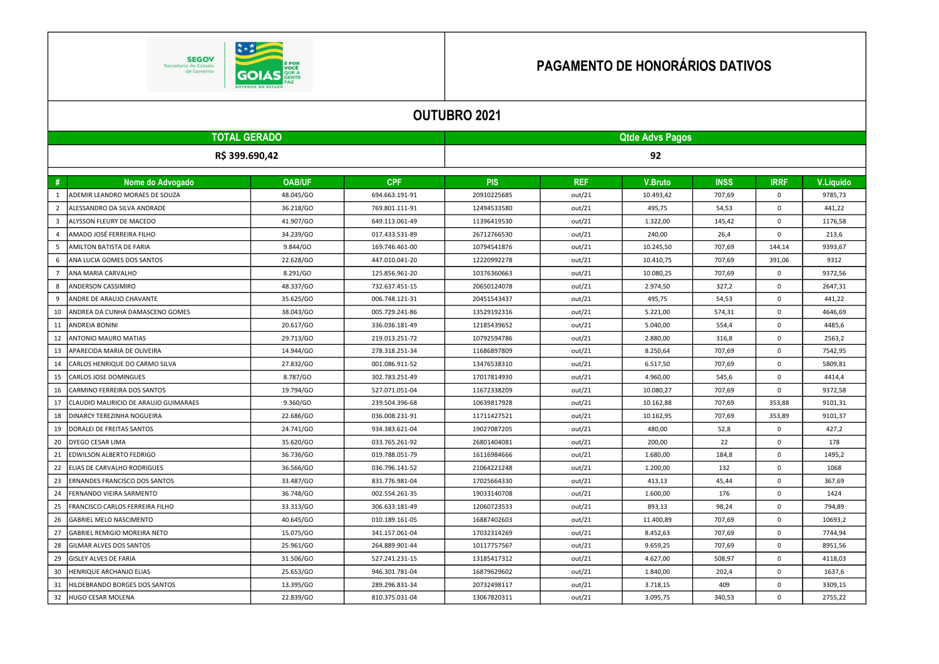

## PAGAMENTO DE HONORÁRIOS DATIVOS

|                         | <b>OUTUBRO 2021</b>                  |               |                |                        |            |                |             |             |           |  |  |
|-------------------------|--------------------------------------|---------------|----------------|------------------------|------------|----------------|-------------|-------------|-----------|--|--|
|                         | <b>TOTAL GERADO</b>                  |               |                | <b>Qtde Advs Pagos</b> |            |                |             |             |           |  |  |
| R\$ 399.690,42          |                                      |               |                | 92                     |            |                |             |             |           |  |  |
| #                       | Nome do Advogado                     | <b>OAB/UF</b> | <b>CPF</b>     | <b>PIS</b>             | <b>REF</b> | <b>V.Bruto</b> | <b>INSS</b> | <b>IRRF</b> | V.Líquido |  |  |
| 1                       | ADEMIR LEANDRO MORAES DE SOUZA       | 48.045/GO     | 694.663.191-91 | 20910225685            | out/21     | 10.493,42      | 707,69      | 0           | 9785,73   |  |  |
| $\overline{2}$          | ALESSANDRO DA SILVA ANDRADE          | 36.218/GO     | 769.801.111-91 | 12494533580            | out/21     | 495,75         | 54,53       | 0           | 441,22    |  |  |
| $\overline{\mathbf{3}}$ | ALYSSON FLEURY DE MACEDO             | 41.907/GO     | 649.113.061-49 | 11396419530            | out/21     | 1.322,00       | 145,42      | 0           | 1176,58   |  |  |
| $\overline{4}$          | AMADO JOSÉ FERREIRA FILHO            | 34.239/GO     | 017.433.531-89 | 26712766530            | out/21     | 240,00         | 26,4        | 0           | 213,6     |  |  |
| 5                       | AMILTON BATISTA DE FARIA             | 9.844/GO      | 169.746.461-00 | 10794541876            | out/21     | 10.245,50      | 707,69      | 144,14      | 9393,67   |  |  |
| 6                       | ANA LUCIA GOMES DOS SANTOS           | 22.628/GO     | 447.010.041-20 | 12220992278            | out/21     | 10.410,75      | 707,69      | 391,06      | 9312      |  |  |
| $\overline{7}$          | ANA MARIA CARVALHO                   | 8.291/GO      | 125.856.961-20 | 10376360663            | out/21     | 10.080,25      | 707,69      | 0           | 9372,56   |  |  |
| 8                       | ANDERSON CASSIMIRO                   | 48.337/GO     | 732.637.451-15 | 20650124078            | out/21     | 2.974,50       | 327,2       | 0           | 2647,31   |  |  |
| 9                       | ANDRE DE ARAUJO CHAVANTE             | 35.625/GO     | 006.748.121-31 | 20451543437            | out/21     | 495,75         | 54,53       | 0           | 441,22    |  |  |
| 10                      | ANDREA DA CUNHA DAMASCENO GOMES      | 38.043/GO     | 005.729.241-86 | 13529192316            | out/21     | 5.221,00       | 574,31      | 0           | 4646,69   |  |  |
| 11                      | <b>ANDREIA BONINI</b>                | 20.617/GO     | 336.036.181-49 | 12185439652            | out/21     | 5.040,00       | 554,4       | 0           | 4485,6    |  |  |
| 12                      | ANTONIO MAURO MATIAS                 | 29.713/GO     | 219.013.251-72 | 10792594786            | out/21     | 2.880,00       | 316,8       | 0           | 2563,2    |  |  |
| 13                      | APARECIDA MARIA DE OLIVEIRA          | 14.944/GO     | 278.318.251-34 | 11686897809            | out/21     | 8.250,64       | 707,69      | 0           | 7542,95   |  |  |
| 14                      | CARLOS HENRIQUE DO CARMO SILVA       | 27.832/GO     | 001.086.911-52 | 13476538310            | out/21     | 6.517,50       | 707,69      | 0           | 5809,81   |  |  |
| 15                      | CARLOS JOSE DOMINGUES                | 8.787/GO      | 302.783.251-49 | 17017814930            | out/21     | 4.960,00       | 545,6       | 0           | 4414,4    |  |  |
| 16                      | CARMINO FERREIRA DOS SANTOS          | 19.794/GO     | 527.071.051-04 | 11672338209            | out/21     | 10.080,27      | 707,69      | 0           | 9372,58   |  |  |
| 17                      | CLAUDIO MAURICIO DE ARAUJO GUIMARAES | 9.360/GO      | 239.504.396-68 | 10639817928            | out/21     | 10.162,88      | 707,69      | 353,88      | 9101,31   |  |  |
| 18                      | DINARCY TEREZINHA NOGUEIRA           | 22.686/GO     | 036.008.231-91 | 11711427521            | out/21     | 10.162,95      | 707,69      | 353,89      | 9101,37   |  |  |
| 19                      | DORALEI DE FREITAS SANTOS            | 24.741/GO     | 934.383.621-04 | 19027087205            | out/21     | 480,00         | 52,8        | 0           | 427,2     |  |  |
| 20                      | DYEGO CESAR LIMA                     | 35.620/GO     | 033.765.261-92 | 26801404081            | out/21     | 200,00         | 22          | 0           | 178       |  |  |
| 21                      | EDWILSON ALBERTO FEDRIGO             | 36.736/GO     | 019.788.051-79 | 16116984666            | out/21     | 1.680,00       | 184,8       | 0           | 1495,2    |  |  |
| 22                      | ELIAS DE CARVALHO RODRIGUES          | 36.566/GO     | 036.796.141-52 | 21064221248            | out/21     | 1.200,00       | 132         | 0           | 1068      |  |  |
| 23                      | <b>ERNANDES FRANCISCO DOS SANTOS</b> | 33.487/GO     | 831.776.981-04 | 17025664330            | out/21     | 413,13         | 45,44       | 0           | 367,69    |  |  |
| 24                      | FERNANDO VIEIRA SARMENTO             | 36.748/GO     | 002.554.261-35 | 19033140708            | out/21     | 1.600,00       | 176         | 0           | 1424      |  |  |
| 25                      | FRANCISCO CARLOS FERREIRA FILHO      | 33.313/GO     | 306.633.181-49 | 12060723533            | out/21     | 893,13         | 98,24       | 0           | 794,89    |  |  |
| 26                      | <b>GABRIEL MELO NASCIMENTO</b>       | 40.645/GO     | 010.189.161-05 | 16887402603            | out/21     | 11.400,89      | 707,69      | 0           | 10693,2   |  |  |
| 27                      | GABRIEL REMIGIO MOREIRA NETO         | 15.075/GO     | 341.157.061-04 | 17032314269            | out/21     | 8.452,63       | 707,69      | 0           | 7744,94   |  |  |
| 28                      | <b>GILMAR ALVES DOS SANTOS</b>       | 25.961/GO     | 264.889.901-44 | 10117757567            | out/21     | 9.659,25       | 707,69      | $\Omega$    | 8951,56   |  |  |
| 29                      | <b>GISLEY ALVES DE FARIA</b>         | 31.506/GO     | 527.241.231-15 | 13185417312            | out/21     | 4.627,00       | 508,97      | 0           | 4118,03   |  |  |
| 30                      | HENRIQUE ARCHANJO ELIAS              | 25.653/GO     | 946.301.781-04 | 16879629602            | out/21     | 1.840,00       | 202,4       | 0           | 1637,6    |  |  |
| 31                      | HILDEBRANDO BORGES DOS SANTOS        | 13.395/GO     | 289.296.831-34 | 20732498117            | out/21     | 3.718,15       | 409         | 0           | 3309,15   |  |  |
| 32                      | HUGO CESAR MOLENA                    | 22.839/GO     | 810.375.031-04 | 13067820311            | out/21     | 3.095,75       | 340.53      | $\Omega$    | 2755,22   |  |  |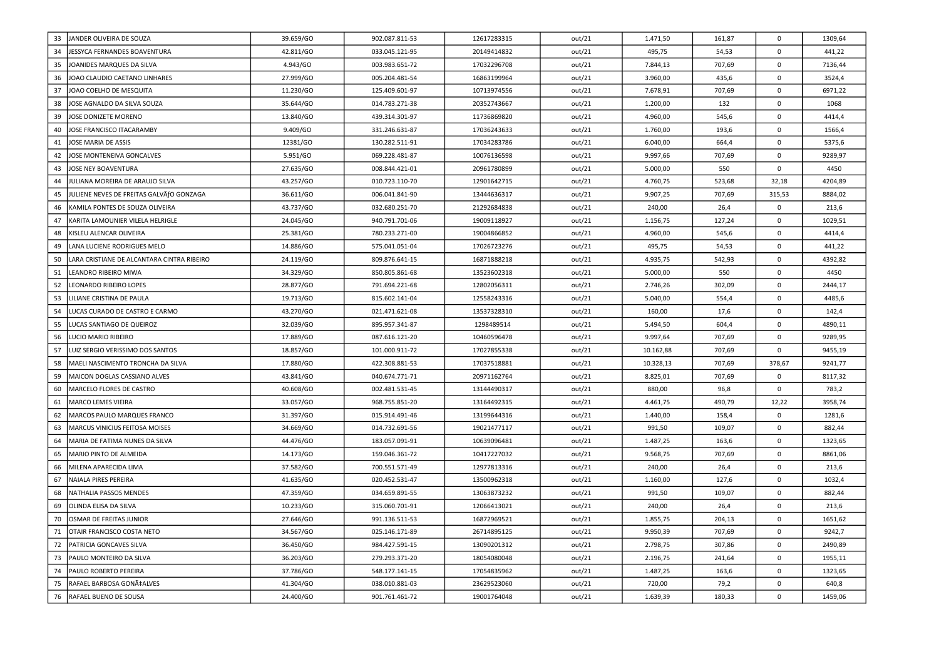| 33 | JANDER OLIVEIRA DE SOUZA                   | 39.659/GO | 902.087.811-53 | 12617283315 | out/21 | 1.471,50  | 161,87 | 0           | 1309,64 |
|----|--------------------------------------------|-----------|----------------|-------------|--------|-----------|--------|-------------|---------|
| 34 | JESSYCA FERNANDES BOAVENTURA               | 42.811/GO | 033.045.121-95 | 20149414832 | out/21 | 495,75    | 54,53  | $\Omega$    | 441,22  |
| 35 | JOANIDES MARQUES DA SILVA                  | 4.943/GO  | 003.983.651-72 | 17032296708 | out/21 | 7.844,13  | 707,69 | $\Omega$    | 7136,44 |
| 36 | JOAO CLAUDIO CAETANO LINHARES              | 27.999/GO | 005.204.481-54 | 16863199964 | out/21 | 3.960,00  | 435,6  | $\mathbf 0$ | 3524,4  |
| 37 | JOAO COELHO DE MESQUITA                    | 11.230/GO | 125.409.601-97 | 10713974556 | out/21 | 7.678,91  | 707,69 | $\mathbf 0$ | 6971,22 |
| 38 | JOSE AGNALDO DA SILVA SOUZA                | 35.644/GO | 014.783.271-38 | 20352743667 | out/21 | 1.200,00  | 132    | 0           | 1068    |
| 39 | JOSE DONIZETE MORENO                       | 13.840/GO | 439.314.301-97 | 11736869820 | out/21 | 4.960,00  | 545,6  | $\mathbf 0$ | 4414,4  |
| 40 | JOSE FRANCISCO ITACARAMBY                  | 9.409/GO  | 331.246.631-87 | 17036243633 | out/21 | 1.760,00  | 193,6  | $\mathbf 0$ | 1566,4  |
| 41 | JOSE MARIA DE ASSIS                        | 12381/GO  | 130.282.511-91 | 17034283786 | out/21 | 6.040,00  | 664,4  | $\mathbf 0$ | 5375,6  |
| 42 | JOSE MONTENEIVA GONCALVES                  | 5.951/GO  | 069.228.481-87 | 10076136598 | out/21 | 9.997,66  | 707,69 | $\mathbf 0$ | 9289,97 |
| 43 | JOSE NEY BOAVENTURA                        | 27.635/GO | 008.844.421-01 | 20961780899 | out/21 | 5.000,00  | 550    | $\mathbf 0$ | 4450    |
| 44 | JULIANA MOREIRA DE ARAUJO SILVA            | 43.257/GO | 010.723.110-70 | 12901642715 | out/21 | 4.760,75  | 523,68 | 32,18       | 4204,89 |
| 45 | JULIENE NEVES DE FREITAS GALVÃfO GONZAGA   | 36.611/GO | 006.041.841-90 | 13444636317 | out/21 | 9.907,25  | 707,69 | 315,53      | 8884,02 |
| 46 | KAMILA PONTES DE SOUZA OLIVEIRA            | 43.737/GO | 032.680.251-70 | 21292684838 | out/21 | 240,00    | 26,4   | $\mathbf 0$ | 213,6   |
| 47 | KARITA LAMOUNIER VILELA HELRIGLE           | 24.045/GO | 940.791.701-06 | 19009118927 | out/21 | 1.156,75  | 127,24 | $\Omega$    | 1029,51 |
| 48 | KISLEU ALENCAR OLIVEIRA                    | 25.381/GO | 780.233.271-00 | 19004866852 | out/21 | 4.960,00  | 545,6  | $\mathbf 0$ | 4414,4  |
| 49 | LANA LUCIENE RODRIGUES MELO                | 14.886/GO | 575.041.051-04 | 17026723276 | out/21 | 495,75    | 54,53  | $\mathbf 0$ | 441,22  |
| 50 | LARA CRISTIANE DE ALCANTARA CINTRA RIBEIRO | 24.119/GO | 809.876.641-15 | 16871888218 | out/21 | 4.935,75  | 542,93 | $\mathbf 0$ | 4392,82 |
| 51 | LEANDRO RIBEIRO MIWA                       | 34.329/GO | 850.805.861-68 | 13523602318 | out/21 | 5.000,00  | 550    | $\mathbf 0$ | 4450    |
| 52 | LEONARDO RIBEIRO LOPES                     | 28.877/GO | 791.694.221-68 | 12802056311 | out/21 | 2.746,26  | 302,09 | $\mathbf 0$ | 2444,17 |
| 53 | LILIANE CRISTINA DE PAULA                  | 19.713/GO | 815.602.141-04 | 12558243316 | out/21 | 5.040,00  | 554,4  | $\Omega$    | 4485,6  |
| 54 | LUCAS CURADO DE CASTRO E CARMO             | 43.270/GO | 021.471.621-08 | 13537328310 | out/21 | 160,00    | 17,6   | $\mathbf 0$ | 142,4   |
| 55 | LUCAS SANTIAGO DE QUEIROZ                  | 32.039/GO | 895.957.341-87 | 1298489514  | out/21 | 5.494,50  | 604,4  | $\mathbf 0$ | 4890,11 |
| 56 | LUCIO MARIO RIBEIRO                        | 17.889/GO | 087.616.121-20 | 10460596478 | out/21 | 9.997,64  | 707,69 | $\mathbf 0$ | 9289,95 |
| 57 | LUIZ SERGIO VERISSIMO DOS SANTOS           | 18.857/GO | 101.000.911-72 | 17027855338 | out/21 | 10.162,88 | 707,69 | $\mathbf 0$ | 9455,19 |
| 58 | MAELI NASCIMENTO TRONCHA DA SILVA          | 17.880/GO | 422.308.881-53 | 17037518881 | out/21 | 10.328,13 | 707,69 | 378,67      | 9241,77 |
| 59 | MAICON DOGLAS CASSIANO ALVES               | 43.841/GO | 040.674.771-71 | 20971162764 | out/21 | 8.825,01  | 707,69 | $\mathbf 0$ | 8117,32 |
| 60 | MARCELO FLORES DE CASTRO                   | 40.608/GO | 002.481.531-45 | 13144490317 | out/21 | 880,00    | 96,8   | $\mathbf 0$ | 783,2   |
| 61 | MARCO LEMES VIEIRA                         | 33.057/GO | 968.755.851-20 | 13164492315 | out/21 | 4.461,75  | 490,79 | 12,22       | 3958,74 |
| 62 | MARCOS PAULO MARQUES FRANCO                | 31.397/GO | 015.914.491-46 | 13199644316 | out/21 | 1.440,00  | 158,4  | $\mathbf 0$ | 1281,6  |
| 63 | MARCUS VINICIUS FEITOSA MOISES             | 34.669/GO | 014.732.691-56 | 19021477117 | out/21 | 991,50    | 109,07 | $\mathbf 0$ | 882,44  |
| 64 | MARIA DE FATIMA NUNES DA SILVA             | 44.476/GO | 183.057.091-91 | 10639096481 | out/21 | 1.487,25  | 163,6  | $\mathbf 0$ | 1323,65 |
| 65 | MARIO PINTO DE ALMEIDA                     | 14.173/GO | 159.046.361-72 | 10417227032 | out/21 | 9.568,75  | 707,69 | $\mathbf 0$ | 8861,06 |
| 66 | MILENA APARECIDA LIMA                      | 37.582/GO | 700.551.571-49 | 12977813316 | out/21 | 240,00    | 26,4   | $\mathbf 0$ | 213,6   |
| 67 | NAIALA PIRES PEREIRA                       | 41.635/GO | 020.452.531-47 | 13500962318 | out/21 | 1.160,00  | 127,6  | $\mathbf 0$ | 1032,4  |
| 68 | NATHALIA PASSOS MENDES                     | 47.359/GO | 034.659.891-55 | 13063873232 | out/21 | 991,50    | 109,07 | $\mathbf 0$ | 882,44  |
| 69 | OLINDA ELISA DA SILVA                      | 10.233/GO | 315.060.701-91 | 12066413021 | out/21 | 240,00    | 26,4   | $\mathbf 0$ | 213,6   |
| 70 | OSMAR DE FREITAS JUNIOR                    | 27.646/GO | 991.136.511-53 | 16872969521 | out/21 | 1.855,75  | 204,13 | $\mathbf 0$ | 1651,62 |
| 71 | OTAIR FRANCISCO COSTA NETO                 | 34.567/GO | 025.146.171-89 | 26714895125 | out/21 | 9.950,39  | 707,69 | $\mathbf 0$ | 9242,7  |
| 72 | PATRICIA GONCAVES SILVA                    | 36.450/GO | 984.427.591-15 | 13090201312 | out/21 | 2.798,75  | 307,86 | $\mathbf 0$ | 2490,89 |
| 73 | PAULO MONTEIRO DA SILVA                    | 36.203/GO | 279.293.371-20 | 18054080048 | out/21 | 2.196,75  | 241,64 | $\mathbf 0$ | 1955,11 |
| 74 | PAULO ROBERTO PEREIRA                      | 37.786/GO | 548.177.141-15 | 17054835962 | out/21 | 1.487,25  | 163,6  | $\mathbf 0$ | 1323,65 |
| 75 | RAFAEL BARBOSA GONÇALVES                   | 41.304/GO | 038.010.881-03 | 23629523060 | out/21 | 720,00    | 79,2   | $\Omega$    | 640,8   |
| 76 | RAFAEL BUENO DE SOUSA                      | 24.400/GO | 901.761.461-72 | 19001764048 | out/21 | 1.639,39  | 180,33 | 0           | 1459,06 |